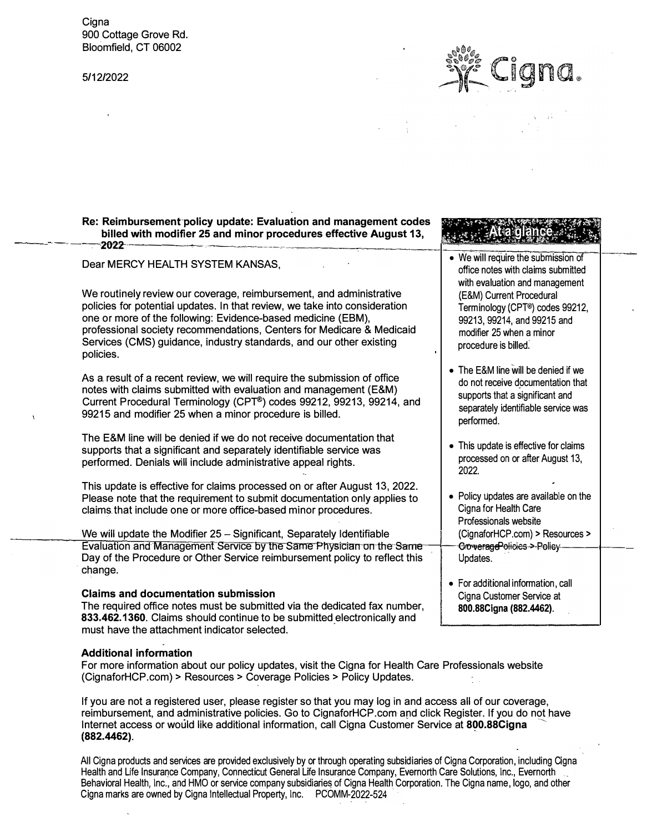**Cigna** 900 Cottage Grove Rd. Bloomfield, CT 06002

5/12/2022



## Re: Reimbursement-policy update: Evaluation and management codes billed with modifier 25 and minor procedures effective August 13,  $-$  2022  $-$  2022

**Claims and documentation submission** 

must have the attachment indicator selected.

**Additional information** 

**(882.4462).** 

The required office notes must be submitted via the dedicated fax number, **833.462.1360.** Claims should continue to be submitted electronically and

(CignaforHCP.com) > Resources> Coverage Policies> Policy Updates.

| - ZUZZ                                                                                                                                                                                                                                                                                                                                                                         |                                                                                                                                                                  |  |
|--------------------------------------------------------------------------------------------------------------------------------------------------------------------------------------------------------------------------------------------------------------------------------------------------------------------------------------------------------------------------------|------------------------------------------------------------------------------------------------------------------------------------------------------------------|--|
| Dear MERCY HEALTH SYSTEM KANSAS,                                                                                                                                                                                                                                                                                                                                               | • We will require the submission of<br>office notes with claims submitted<br>with evaluation and management                                                      |  |
| We routinely review our coverage, reimbursement, and administrative<br>policies for potential updates. In that review, we take into consideration<br>one or more of the following: Evidence-based medicine (EBM),<br>professional society recommendations, Centers for Medicare & Medicaid<br>Services (CMS) guidance, industry standards, and our other existing<br>policies. | (E&M) Current Procedural<br>Terminology (CPT <sup>®</sup> ) codes 99212,<br>99213, 99214, and 99215 and<br>modifier 25 when a minor<br>procedure is billed.      |  |
| As a result of a recent review, we will require the submission of office<br>notes with claims submitted with evaluation and management (E&M)<br>Current Procedural Terminology (CPT®) codes 99212, 99213, 99214, and<br>99215 and modifier 25 when a minor procedure is billed.                                                                                                | • The E&M line will be denied if we<br>do not receive documentation that<br>supports that a significant and<br>separately identifiable service was<br>performed. |  |
| The E&M line will be denied if we do not receive documentation that<br>supports that a significant and separately identifiable service was<br>performed. Denials will include administrative appeal rights.                                                                                                                                                                    | • This update is effective for claims<br>processed on or after August 13,<br>2022.                                                                               |  |
| This update is effective for claims processed on or after August 13, 2022.<br>Please note that the requirement to submit documentation only applies to<br>claims that include one or more office-based minor procedures.                                                                                                                                                       | • Policy updates are available on the<br>Cigna for Health Care<br>Professionals website                                                                          |  |
| We will update the Modifier 25 - Significant, Separately Identifiable                                                                                                                                                                                                                                                                                                          | (CignaforHCP.com) > Resources >                                                                                                                                  |  |
| Evaluation and Management Service by the Same Physician on the Same<br>Day of the Procedure or Other Service reimbursement policy to reflect this<br>change.                                                                                                                                                                                                                   | CroweragePolicies > Policy<br>Updates.                                                                                                                           |  |

• For additional information, call Cigna Customer Service at **800.88Cigna (882.4462).**

All Cigna products and services are provided exclusively by or through operating subsidiaries of Cigna Corporation, including Cigna Health and Life Insurance Company, Connecticut General Life Insurance Company, Evernorth Care Solutions, Inc., Evernorth Behavioral Health, Inc., and HMO or service company subsidiaries of Cigna Health Corporation. The Cigna name, logo, and other Cigna marks are owned by Cigna Intellectual Property, Inc. PCOMM-2022-524

For more information about our policy updates, visit the Cigna for Health Care Professionals website

If you are not a registered user, please register so that you may log in and access all of our coverage, reimbursement, and administrative policies. Go to CignaforHCP com and click Register. If you do not have

Internet access or would like additional information, call Cigna Customer Service at 800.88Cigna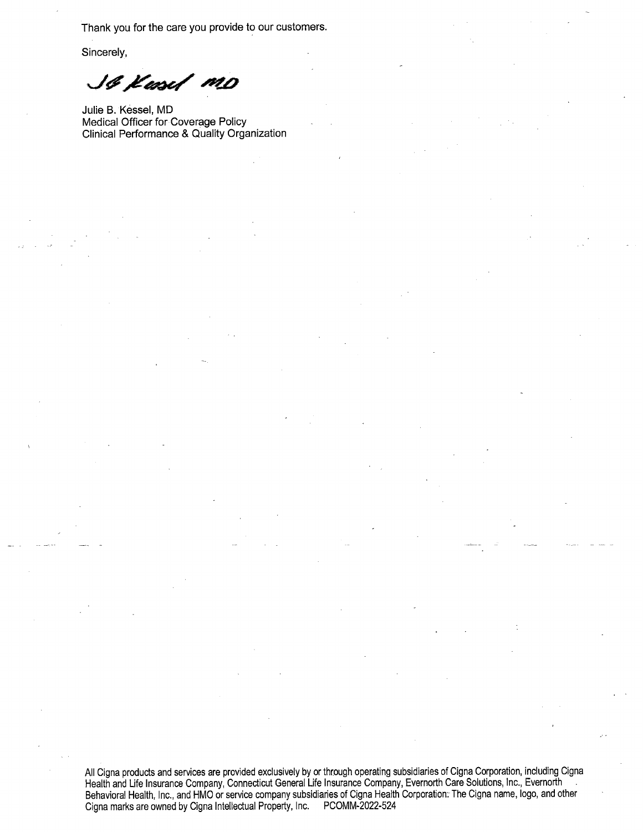Thank you for the care you provide to our customers.

Sincerely,

SG Kasel MD

Julie B. Kessel, MD Medical Officer for Coverage Policy Clinical Performance & Quality Organization

All Cigna products and services are provided exclusively by or through operating subsidiaries of Cigna Corporation, including Cigna<br>Health and Life Insurance Company, Connecticut General Life Insurance Company, Evernorth C Cigna marks are owned by Cigna Intellectual Property, Inc. PCOMM-2022-524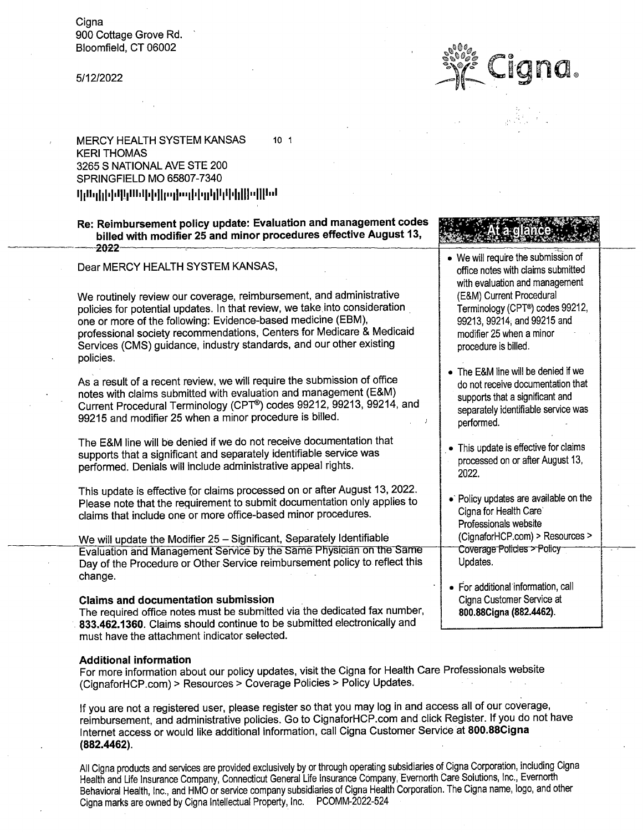Cigna 900 Cottage Grove Rd. Bloomfield, CT 06002

## 5/12/2022

**MERCY HEALTH SYSTEM KANSAS**  $10<sub>1</sub>$ **KERI THOMAS** 3265 S NATIONAL AVE STE 200 SPRINGFIELD MO 65807-7340 

Re: Reimbursement policy update: Evaluation and management codes billed with modifier 25 and minor procedures effective August 13,  $-2022-$ 

Dear MERCY HEALTH SYSTEM KANSAS,

We routinely review our coverage, reimbursement, and administrative policies for potential updates. In that review, we take into consideration one or more of the following: Evidence-based medicine (EBM), professional society recommendations, Centers for Medicare & Medicaid Services (CMS) guidance, industry standards, and our other existing policies.

As a result of a recent review, we will require the submission of office notes with claims submitted with evaluation and management (E&M) Current Procedural Terminology (CPT®) codes 99212, 99213, 99214, and 99215 and modifier 25 when a minor procedure is billed.

The E&M line will be denied if we do not receive documentation that supports that a significant and separately identifiable service was performed. Denials will include administrative appeal rights.

This update is effective for claims processed on or after August 13, 2022. Please note that the requirement to submit documentation only applies to claims that include one or more office-based minor procedures.

We will update the Modifier 25 - Significant, Separately Identifiable Evaluation and Management Service by the Same Physician on the Same Day of the Procedure or Other Service reimbursement policy to reflect this change.

## **Claims and documentation submission**

The required office notes must be submitted via the dedicated fax number, 833.462.1360. Claims should continue to be submitted electronically and must have the attachment indicator selected.

## **Additional information**

For more information about our policy updates, visit the Cigna for Health Care Professionals website (CignaforHCP.com) > Resources > Coverage Policies > Policy Updates.

If you are not a registered user, please register so that you may log in and access all of our coverage, reimbursement, and administrative policies. Go to CignaforHCP.com and click Register. If you do not have Internet access or would like additional information, call Cigna Customer Service at 800.88Cigna  $(882.4462)$ .

All Cigna products and services are provided exclusively by or through operating subsidiaries of Cigna Corporation, including Cigna Health and Life Insurance Company, Connecticut General Life Insurance Company, Evernorth Care Solutions, Inc., Evernorth Behavioral Health, Inc., and HMO or service company subsidiaries of Cigna Health Corporation. The Cigna name, logo, and other Cigna marks are owned by Cigna Intellectual Property, Inc. PCOMM-2022-524

- We will require the submission of office notes with claims submitted with evaluation and management (E&M) Current Procedural
	- Terminology (CPT®) codes 99212, 99213, 99214, and 99215 and modifier 25 when a minor procedure is billed.
- The E&M line will be denied if we do not receive documentation that supports that a significant and separately identifiable service was performed.
- This update is effective for claims processed on or after August 13, 2022.
- Policy updates are available on the Ciana for Health Care` Professionals website (CignaforHCP.com) > Resources > Coverage Policies > Policy Updates.
- · For additional information, call Cigna Customer Service at 800.88Cigna (882.4462).